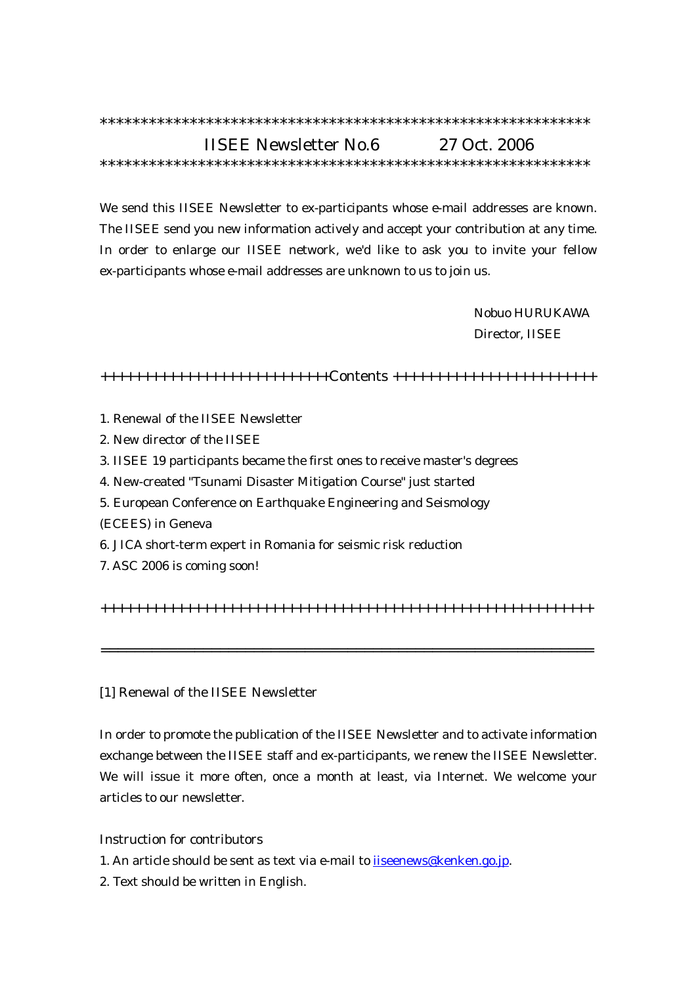## \*\*\*\*\*\*\*\*\*\*\*\*\*\*\*\*\*\*\*\*\*\*\*\*\*\*\*\*\*\*\*\*\*\*\*\*\*\*\*\*\*\*\*\*\*\*\*\*\*\*\*\*\*\*\*\*\*\*\*\* IISEE Newsletter No.6 27 Oct. 2006 \*\*\*\*\*\*\*\*\*\*\*\*\*\*\*\*\*\*\*\*\*\*\*\*\*\*\*\*\*\*\*\*\*\*\*\*\*\*\*\*\*\*\*\*\*\*\*\*\*\*\*\*\*\*\*\*\*\*\*\*

We send this IISEE Newsletter to ex-participants whose e-mail addresses are known. The IISEE send you new information actively and accept your contribution at any time. In order to enlarge our IISEE network, we'd like to ask you to invite your fellow ex-participants whose e-mail addresses are unknown to us to join us.

> Nobuo HURUKAWA Director, IISEE

+++++++++++++++++++++++++++Contents ++++++++++++++++++++++++

- 1. Renewal of the IISEE Newsletter
- 2. New director of the IISEE
- 3. IISEE 19 participants became the first ones to receive master's degrees
- 4. New-created "Tsunami Disaster Mitigation Course" just started
- 5. European Conference on Earthquake Engineering and Seismology
- (ECEES) in Geneva
- 6. JICA short-term expert in Romania for seismic risk reduction
- 7. ASC 2006 is coming soon!

++++++++++++++++++++++++++++++++++++++++++++++++++++++++++

==========================================================

#### [1] Renewal of the IISEE Newsletter

In order to promote the publication of the IISEE Newsletter and to activate information exchange between the IISEE staff and ex-participants, we renew the IISEE Newsletter. We will issue it more often, once a month at least, via Internet. We welcome your articles to our newsletter.

### Instruction for contributors

1. An article should be sent as text via e-mail to iiseenews@kenken.go.jp.

2. Text should be written in English.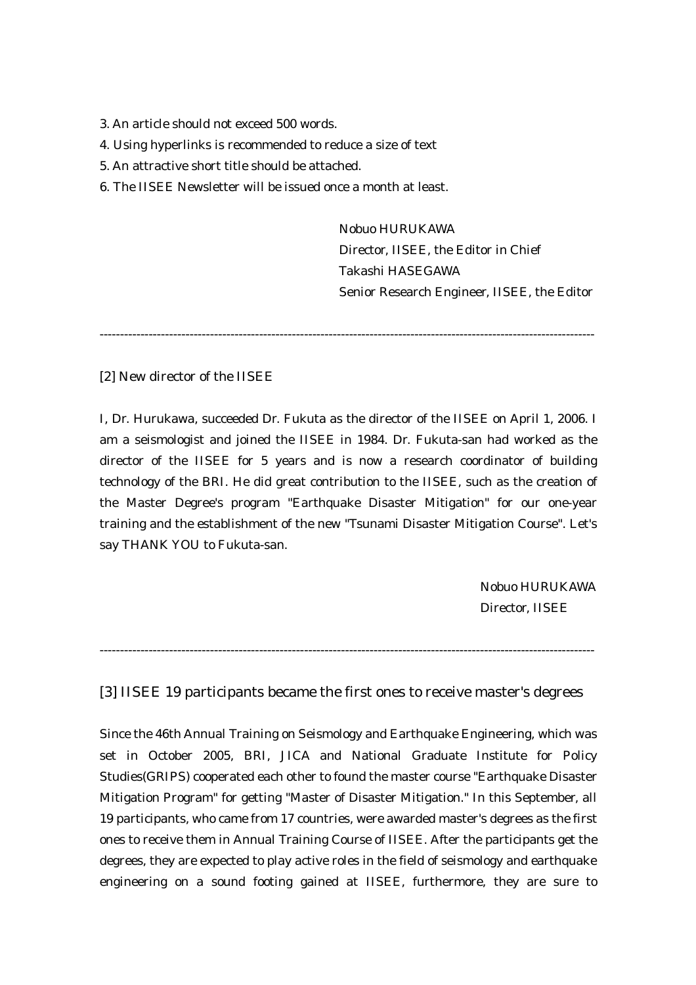- 3. An article should not exceed 500 words.
- 4. Using hyperlinks is recommended to reduce a size of text
- 5. An attractive short title should be attached.
- 6. The IISEE Newsletter will be issued once a month at least.

 Nobuo HURUKAWA Director, IISEE, the Editor in Chief Takashi HASEGAWA Senior Research Engineer, IISEE, the Editor

-------------------------------------------------------------------------------------------------------------------------

[2] New director of the IISEE

I, Dr. Hurukawa, succeeded Dr. Fukuta as the director of the IISEE on April 1, 2006. I am a seismologist and joined the IISEE in 1984. Dr. Fukuta-san had worked as the director of the IISEE for 5 years and is now a research coordinator of building technology of the BRI. He did great contribution to the IISEE, such as the creation of the Master Degree's program "Earthquake Disaster Mitigation" for our one-year training and the establishment of the new "Tsunami Disaster Mitigation Course". Let's say THANK YOU to Fukuta-san.

> Nobuo HURUKAWA Director, IISEE

-------------------------------------------------------------------------------------------------------------------------

[3] IISEE 19 participants became the first ones to receive master's degrees

Since the 46th Annual Training on Seismology and Earthquake Engineering, which was set in October 2005, BRI, JICA and National Graduate Institute for Policy Studies(GRIPS) cooperated each other to found the master course "Earthquake Disaster Mitigation Program" for getting "Master of Disaster Mitigation." In this September, all 19 participants, who came from 17 countries, were awarded master's degrees as the first ones to receive them in Annual Training Course of IISEE. After the participants get the degrees, they are expected to play active roles in the field of seismology and earthquake engineering on a sound footing gained at IISEE, furthermore, they are sure to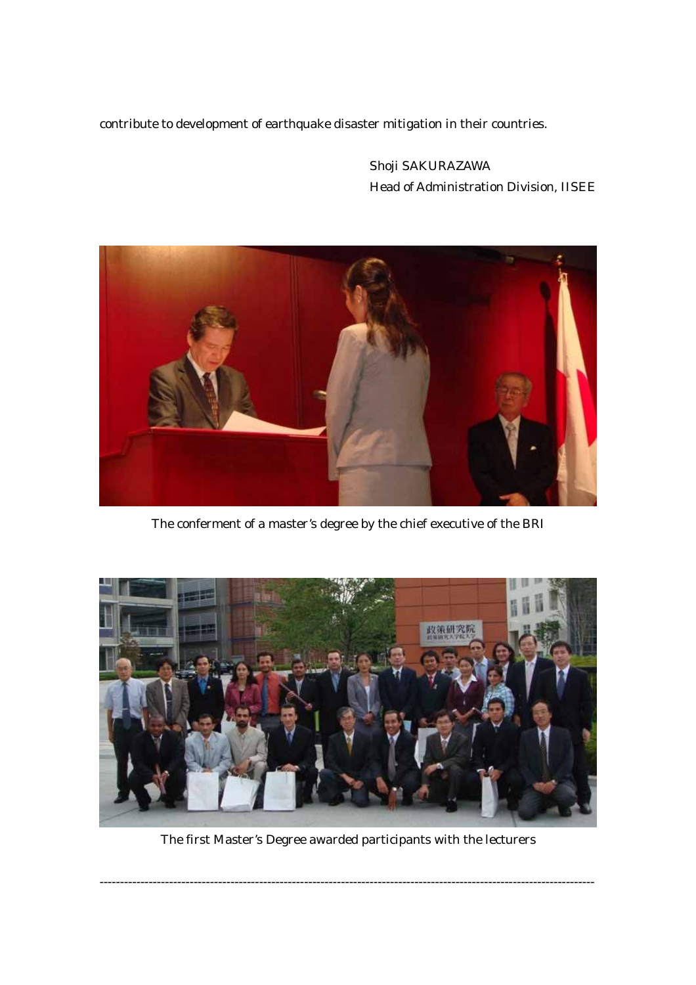contribute to development of earthquake disaster mitigation in their countries.

 Shoji SAKURAZAWA Head of Administration Division, IISEE



The conferment of a master's degree by the chief executive of the BRI



The first Master's Degree awarded participants with the lecturers

-------------------------------------------------------------------------------------------------------------------------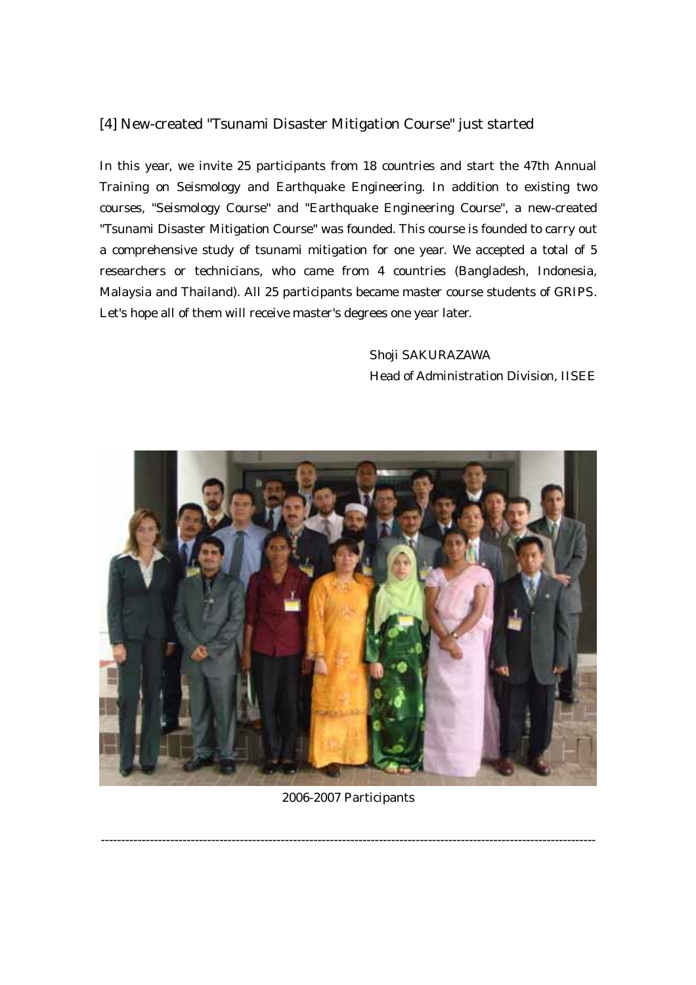## [4] New-created "Tsunami Disaster Mitigation Course" just started

In this year, we invite 25 participants from 18 countries and start the 47th Annual Training on Seismology and Earthquake Engineering. In addition to existing two courses, "Seismology Course" and "Earthquake Engineering Course", a new-created "Tsunami Disaster Mitigation Course" was founded. This course is founded to carry out a comprehensive study of tsunami mitigation for one year. We accepted a total of 5 researchers or technicians, who came from 4 countries (Bangladesh, Indonesia, Malaysia and Thailand). All 25 participants became master course students of GRIPS. Let's hope all of them will receive master's degrees one year later.

> Shoji SAKURAZAWA Head of Administration Division, IISEE



#### 2006-2007 Participants

-------------------------------------------------------------------------------------------------------------------------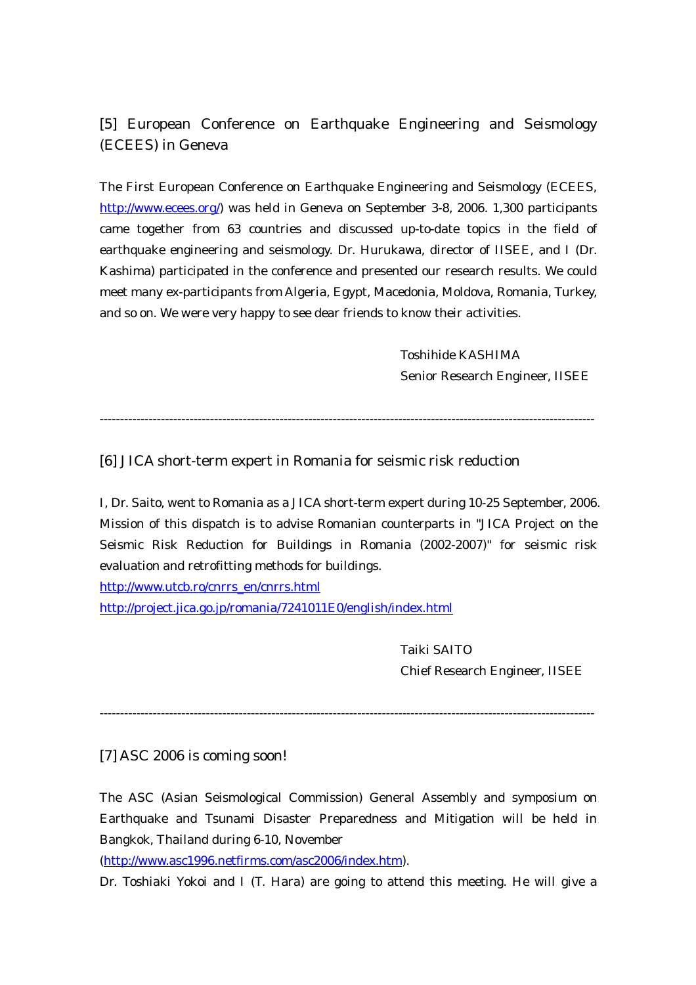# [5] European Conference on Earthquake Engineering and Seismology (ECEES) in Geneva

The First European Conference on Earthquake Engineering and Seismology (ECEES, http://www.ecees.org/) was held in Geneva on September 3-8, 2006. 1,300 participants came together from 63 countries and discussed up-to-date topics in the field of earthquake engineering and seismology. Dr. Hurukawa, director of IISEE, and I (Dr. Kashima) participated in the conference and presented our research results. We could meet many ex-participants from Algeria, Egypt, Macedonia, Moldova, Romania, Turkey, and so on. We were very happy to see dear friends to know their activities.

> Toshihide KASHIMA Senior Research Engineer, IISEE

-------------------------------------------------------------------------------------------------------------------------

[6] JICA short-term expert in Romania for seismic risk reduction

I, Dr. Saito, went to Romania as a JICA short-term expert during 10-25 September, 2006. Mission of this dispatch is to advise Romanian counterparts in "JICA Project on the Seismic Risk Reduction for Buildings in Romania (2002-2007)" for seismic risk evaluation and retrofitting methods for buildings.

http://www.utcb.ro/cnrrs\_en/cnrrs.html

http://project.jica.go.jp/romania/7241011E0/english/index.html

 Taiki SAITO Chief Research Engineer, IISEE

-------------------------------------------------------------------------------------------------------------------------

[7] ASC 2006 is coming soon!

The ASC (Asian Seismological Commission) General Assembly and symposium on Earthquake and Tsunami Disaster Preparedness and Mitigation will be held in Bangkok, Thailand during 6-10, November

(http://www.asc1996.netfirms.com/asc2006/index.htm).

Dr. Toshiaki Yokoi and I (T. Hara) are going to attend this meeting. He will give a